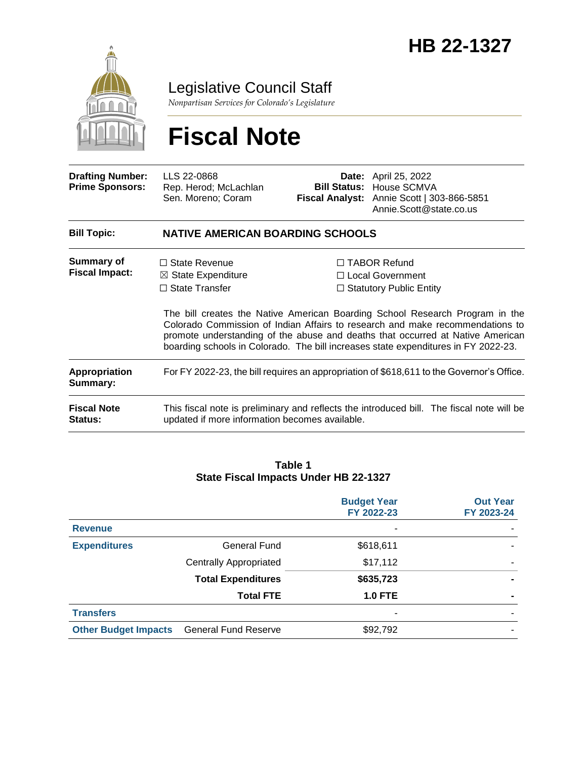

Legislative Council Staff

*Nonpartisan Services for Colorado's Legislature*

# **Fiscal Note**

| <b>Drafting Number:</b><br><b>Prime Sponsors:</b> | LLS 22-0868<br>Rep. Herod; McLachlan<br>Sen. Moreno; Coram                                                                                  |  | <b>Date:</b> April 25, 2022<br><b>Bill Status: House SCMVA</b><br>Fiscal Analyst: Annie Scott   303-866-5851<br>Annie.Scott@state.co.us                                                                                                                                                                                                                                                                              |  |  |
|---------------------------------------------------|---------------------------------------------------------------------------------------------------------------------------------------------|--|----------------------------------------------------------------------------------------------------------------------------------------------------------------------------------------------------------------------------------------------------------------------------------------------------------------------------------------------------------------------------------------------------------------------|--|--|
| <b>Bill Topic:</b>                                | <b>NATIVE AMERICAN BOARDING SCHOOLS</b>                                                                                                     |  |                                                                                                                                                                                                                                                                                                                                                                                                                      |  |  |
| Summary of<br><b>Fiscal Impact:</b>               | $\Box$ State Revenue<br>$\boxtimes$ State Expenditure<br>$\Box$ State Transfer                                                              |  | $\Box$ TABOR Refund<br>□ Local Government<br>$\Box$ Statutory Public Entity<br>The bill creates the Native American Boarding School Research Program in the<br>Colorado Commission of Indian Affairs to research and make recommendations to<br>promote understanding of the abuse and deaths that occurred at Native American<br>boarding schools in Colorado. The bill increases state expenditures in FY 2022-23. |  |  |
| <b>Appropriation</b><br>Summary:                  | For FY 2022-23, the bill requires an appropriation of \$618,611 to the Governor's Office.                                                   |  |                                                                                                                                                                                                                                                                                                                                                                                                                      |  |  |
| <b>Fiscal Note</b><br><b>Status:</b>              | This fiscal note is preliminary and reflects the introduced bill. The fiscal note will be<br>updated if more information becomes available. |  |                                                                                                                                                                                                                                                                                                                                                                                                                      |  |  |

#### **Table 1 State Fiscal Impacts Under HB 22-1327**

|                             |                               | <b>Budget Year</b><br>FY 2022-23 | <b>Out Year</b><br>FY 2023-24 |
|-----------------------------|-------------------------------|----------------------------------|-------------------------------|
| <b>Revenue</b>              |                               | ۰                                |                               |
| <b>Expenditures</b>         | General Fund                  | \$618,611                        |                               |
|                             | <b>Centrally Appropriated</b> | \$17,112                         |                               |
|                             | <b>Total Expenditures</b>     | \$635,723                        |                               |
|                             | <b>Total FTE</b>              | <b>1.0 FTE</b>                   |                               |
| <b>Transfers</b>            |                               | ۰                                |                               |
| <b>Other Budget Impacts</b> | <b>General Fund Reserve</b>   | \$92,792                         |                               |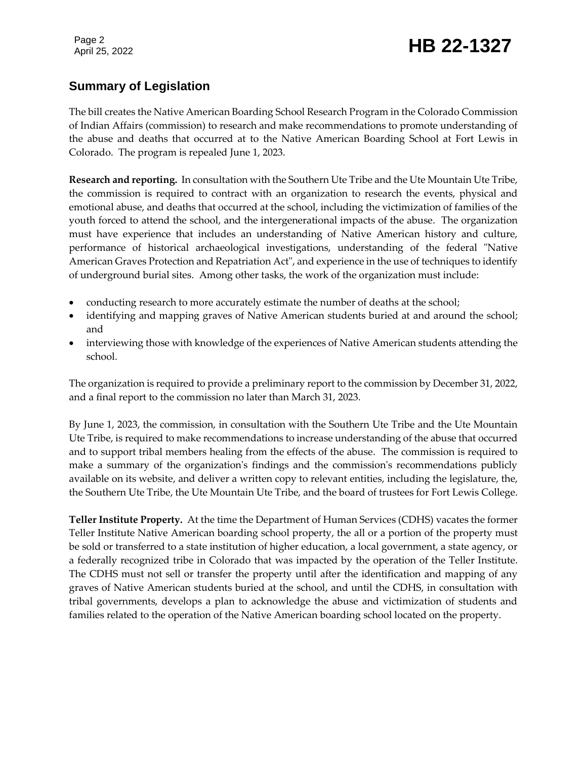# Page 2<br>April 25, 2022 **HB 22-1327**

# **Summary of Legislation**

The bill creates the Native American Boarding School Research Program in the Colorado Commission of Indian Affairs (commission) to research and make recommendations to promote understanding of the abuse and deaths that occurred at to the Native American Boarding School at Fort Lewis in Colorado. The program is repealed June 1, 2023.

**Research and reporting.** In consultation with the Southern Ute Tribe and the Ute Mountain Ute Tribe, the commission is required to contract with an organization to research the events, physical and emotional abuse, and deaths that occurred at the school, including the victimization of families of the youth forced to attend the school, and the intergenerational impacts of the abuse. The organization must have experience that includes an understanding of Native American history and culture, performance of historical archaeological investigations, understanding of the federal "Native American Graves Protection and Repatriation Act", and experience in the use of techniques to identify of underground burial sites. Among other tasks, the work of the organization must include:

- conducting research to more accurately estimate the number of deaths at the school;
- identifying and mapping graves of Native American students buried at and around the school; and
- interviewing those with knowledge of the experiences of Native American students attending the school.

The organization is required to provide a preliminary report to the commission by December 31, 2022, and a final report to the commission no later than March 31, 2023.

By June 1, 2023, the commission, in consultation with the Southern Ute Tribe and the Ute Mountain Ute Tribe, is required to make recommendations to increase understanding of the abuse that occurred and to support tribal members healing from the effects of the abuse. The commission is required to make a summary of the organization's findings and the commission's recommendations publicly available on its website, and deliver a written copy to relevant entities, including the legislature, the, the Southern Ute Tribe, the Ute Mountain Ute Tribe, and the board of trustees for Fort Lewis College.

**Teller Institute Property.** At the time the Department of Human Services (CDHS) vacates the former Teller Institute Native American boarding school property, the all or a portion of the property must be sold or transferred to a state institution of higher education, a local government, a state agency, or a federally recognized tribe in Colorado that was impacted by the operation of the Teller Institute. The CDHS must not sell or transfer the property until after the identification and mapping of any graves of Native American students buried at the school, and until the CDHS, in consultation with tribal governments, develops a plan to acknowledge the abuse and victimization of students and families related to the operation of the Native American boarding school located on the property.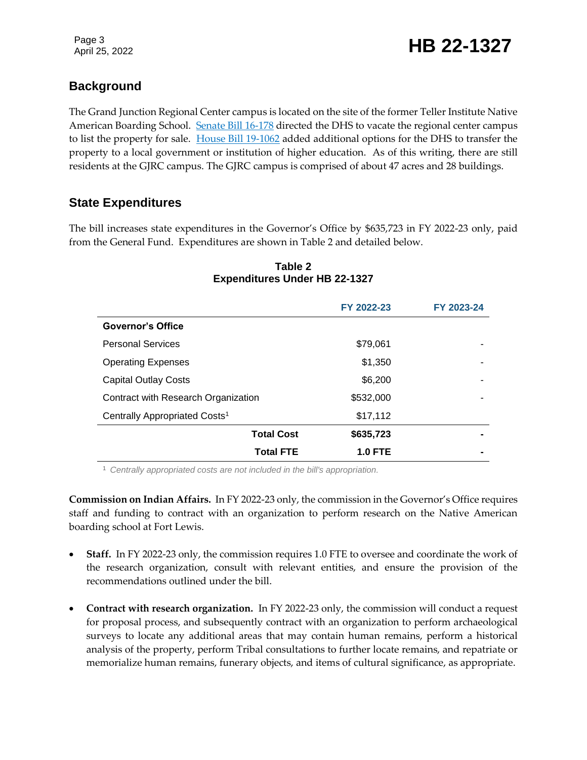# **Background**

The Grand Junction Regional Center campus is located on the site of the former Teller Institute Native American Boarding School. [Senate Bill 16-178](https://leg.colorado.gov/bills/sb16-178) directed the DHS to vacate the regional center campus to list the property for sale. [House Bill 19-1062](https://leg.colorado.gov/bills/hb19-1062) added additional options for the DHS to transfer the property to a local government or institution of higher education. As of this writing, there are still residents at the GJRC campus. The GJRC campus is comprised of about 47 acres and 28 buildings.

# **State Expenditures**

The bill increases state expenditures in the Governor's Office by \$635,723 in FY 2022-23 only, paid from the General Fund. Expenditures are shown in Table 2 and detailed below.

|                                           | FY 2022-23     | FY 2023-24 |
|-------------------------------------------|----------------|------------|
| <b>Governor's Office</b>                  |                |            |
| <b>Personal Services</b>                  | \$79,061       |            |
| <b>Operating Expenses</b>                 | \$1,350        |            |
| <b>Capital Outlay Costs</b>               | \$6,200        |            |
| Contract with Research Organization       | \$532,000      |            |
| Centrally Appropriated Costs <sup>1</sup> | \$17,112       |            |
| <b>Total Cost</b>                         | \$635,723      |            |
| <b>Total FTE</b>                          | <b>1.0 FTE</b> |            |

#### **Table 2 Expenditures Under HB 22-1327**

<sup>1</sup> *Centrally appropriated costs are not included in the bill's appropriation.*

**Commission on Indian Affairs.** In FY 2022-23 only, the commission in the Governor's Office requires staff and funding to contract with an organization to perform research on the Native American boarding school at Fort Lewis.

- **Staff.** In FY 2022-23 only, the commission requires 1.0 FTE to oversee and coordinate the work of the research organization, consult with relevant entities, and ensure the provision of the recommendations outlined under the bill.
- **Contract with research organization.** In FY 2022-23 only, the commission will conduct a request for proposal process, and subsequently contract with an organization to perform archaeological surveys to locate any additional areas that may contain human remains, perform a historical analysis of the property, perform Tribal consultations to further locate remains, and repatriate or memorialize human remains, funerary objects, and items of cultural significance, as appropriate.